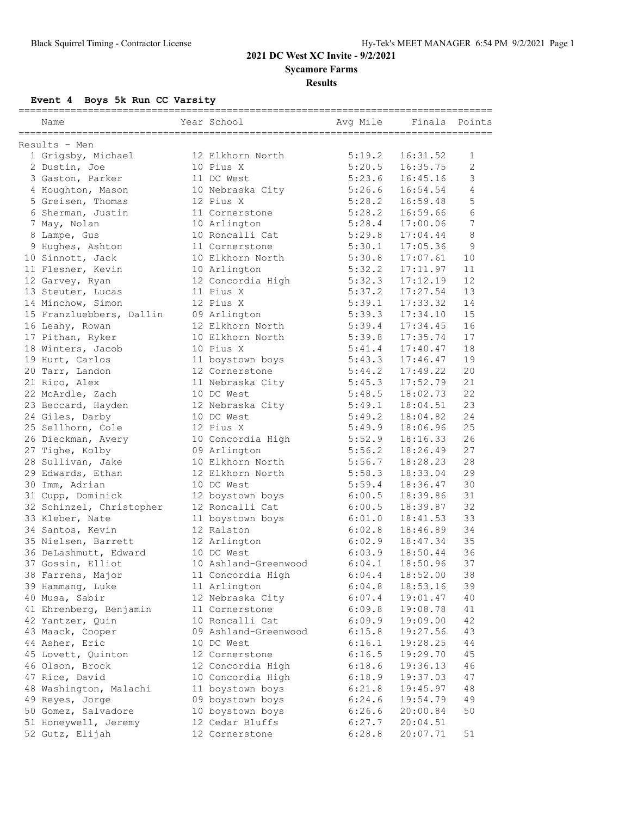**Sycamore Farms**

**Results**

# **Event 4 Boys 5k Run CC Varsity**

| Name                     | Year School          | Avg Mile | Finals   | Points         |
|--------------------------|----------------------|----------|----------|----------------|
| Results - Men            |                      |          |          |                |
| 1 Grigsby, Michael       | 12 Elkhorn North     | 5:19.2   | 16:31.52 | 1              |
| 2 Dustin, Joe            | 10 Pius X            | 5:20.5   | 16:35.75 | $\overline{2}$ |
| 3 Gaston, Parker         | 11 DC West           | 5:23.6   | 16:45.16 | 3              |
| 4 Houghton, Mason        | 10 Nebraska City     | 5:26.6   | 16:54.54 | 4              |
| 5 Greisen, Thomas        | 12 Pius X            | 5:28.2   | 16:59.48 | 5              |
| 6 Sherman, Justin        | 11 Cornerstone       | 5:28.2   | 16:59.66 | 6              |
| 7 May, Nolan             | 10 Arlington         | 5:28.4   | 17:00.06 | 7              |
| 8 Lampe, Gus             | 10 Roncalli Cat      | 5:29.8   | 17:04.44 | 8              |
| 9 Hughes, Ashton         | 11 Cornerstone       | 5:30.1   | 17:05.36 | 9              |
| 10 Sinnott, Jack         | 10 Elkhorn North     | 5:30.8   | 17:07.61 | 10             |
| 11 Flesner, Kevin        | 10 Arlington         | 5:32.2   | 17:11.97 | 11             |
| 12 Garvey, Ryan          | 12 Concordia High    | 5:32.3   | 17:12.19 | 12             |
| 13 Steuter, Lucas        | 11 Pius X            | 5:37.2   | 17:27.54 | 13             |
| 14 Minchow, Simon        | 12 Pius X            | 5:39.1   | 17:33.32 | 14             |
| 15 Franzluebbers, Dallin | 09 Arlington         | 5:39.3   | 17:34.10 | 15             |
| 16 Leahy, Rowan          | 12 Elkhorn North     | 5:39.4   | 17:34.45 | 16             |
| 17 Pithan, Ryker         | 10 Elkhorn North     | 5:39.8   | 17:35.74 | 17             |
| 18 Winters, Jacob        | 10 Pius X            | 5:41.4   | 17:40.47 | 18             |
| 19 Hurt, Carlos          | 11 boystown boys     | 5:43.3   | 17:46.47 | 19             |
| 20 Tarr, Landon          | 12 Cornerstone       | 5:44.2   | 17:49.22 | 20             |
| 21 Rico, Alex            | 11 Nebraska City     | 5:45.3   | 17:52.79 | 21             |
| 22 McArdle, Zach         | 10 DC West           | 5:48.5   | 18:02.73 | 22             |
| 23 Beccard, Hayden       | 12 Nebraska City     | 5:49.1   | 18:04.51 | 23             |
| 24 Giles, Darby          | 10 DC West           | 5:49.2   | 18:04.82 | 24             |
|                          |                      | 5:49.9   | 18:06.96 | 25             |
| 25 Sellhorn, Cole        | 12 Pius X            | 5:52.9   | 18:16.33 | 26             |
| 26 Dieckman, Avery       | 10 Concordia High    |          |          |                |
| 27 Tighe, Kolby          | 09 Arlington         | 5:56.2   | 18:26.49 | 27             |
| 28 Sullivan, Jake        | 10 Elkhorn North     | 5:56.7   | 18:28.23 | 28             |
| 29 Edwards, Ethan        | 12 Elkhorn North     | 5:58.3   | 18:33.04 | 29             |
| 30 Imm, Adrian           | 10 DC West           | 5:59.4   | 18:36.47 | 30             |
| 31 Cupp, Dominick        | 12 boystown boys     | 6:00.5   | 18:39.86 | 31             |
| 32 Schinzel, Christopher | 12 Roncalli Cat      | 6:00.5   | 18:39.87 | 32             |
| 33 Kleber, Nate          | 11 boystown boys     | 6:01.0   | 18:41.53 | 33             |
| 34 Santos, Kevin         | 12 Ralston           | 6:02.8   | 18:46.89 | 34             |
| 35 Nielsen, Barrett      | 12 Arlington         | 6:02.9   | 18:47.34 | 35             |
| 36 DeLashmutt, Edward    | 10 DC West           | 6:03.9   | 18:50.44 | 36             |
| 37 Gossin, Elliot        | 10 Ashland-Greenwood | 6:04.1   | 18:50.96 | 37             |
| 38 Farrens, Major        | 11 Concordia High    | 6:04.4   | 18:52.00 | 38             |
| 39 Hammang, Luke         | 11 Arlington         | 6:04.8   | 18:53.16 | 39             |
| 40 Musa, Sabir           | 12 Nebraska City     | 6:07.4   | 19:01.47 | 40             |
| 41 Ehrenberg, Benjamin   | 11 Cornerstone       | 6:09.8   | 19:08.78 | 41             |
| 42 Yantzer, Quin         | 10 Roncalli Cat      | 6:09.9   | 19:09.00 | 42             |
| 43 Maack, Cooper         | 09 Ashland-Greenwood | 6:15.8   | 19:27.56 | 43             |
| 44 Asher, Eric           | 10 DC West           | 6:16.1   | 19:28.25 | 44             |
| 45 Lovett, Quinton       | 12 Cornerstone       | 6:16.5   | 19:29.70 | 45             |
| 46 Olson, Brock          | 12 Concordia High    | 6:18.6   | 19:36.13 | 46             |
| 47 Rice, David           | 10 Concordia High    | 6:18.9   | 19:37.03 | 47             |
| 48 Washington, Malachi   | 11 boystown boys     | 6:21.8   | 19:45.97 | 48             |
| 49 Reyes, Jorge          | 09 boystown boys     | 6:24.6   | 19:54.79 | 49             |
| 50 Gomez, Salvadore      | 10 boystown boys     | 6:26.6   | 20:00.84 | $50$           |
| 51 Honeywell, Jeremy     | 12 Cedar Bluffs      | 6:27.7   | 20:04.51 |                |
| 52 Gutz, Elijah          | 12 Cornerstone       | 6:28.8   | 20:07.71 | 51             |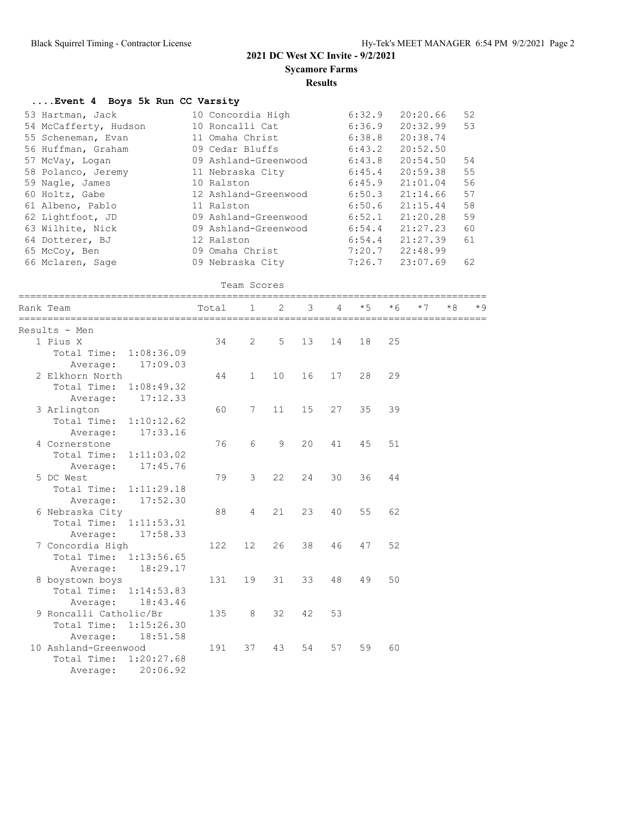Average: 20:06.92

### **2021 DC West XC Invite - 9/2/2021**

**Sycamore Farms**

#### **Results**

### **....Event 4 Boys 5k Run CC Varsity**

| 10 Concordia High    | 6:32.9 | 20:20.66 | 52                         |
|----------------------|--------|----------|----------------------------|
| 10 Roncalli Cat      | 6:36.9 | 20:32.99 | 53                         |
| 11 Omaha Christ      | 6:38.8 | 20:38.74 |                            |
| 09 Cedar Bluffs      | 6:43.2 | 20:52.50 |                            |
| 09 Ashland-Greenwood | 6:43.8 | 20:54.50 | 54                         |
| 11 Nebraska City     | 6:45.4 | 20:59.38 | 55                         |
| 10 Ralston           | 6:45.9 | 21:01.04 | 56                         |
| 12 Ashland-Greenwood |        | 21:14.66 | 57                         |
| 11 Ralston           | 6:50.6 | 21:15.44 | 58                         |
| 09 Ashland-Greenwood | 6:52.1 | 21:20.28 | 59                         |
| 09 Ashland-Greenwood | 6:54.4 | 21:27.23 | 60                         |
| 12 Ralston           | 6:54.4 | 21:27.39 | 61                         |
| 09 Omaha Christ      |        | 22:48.99 |                            |
| 09 Nebraska City     |        | 23:07.69 | 62                         |
|                      |        |          | 6:50.3<br>7:20.7<br>7:26.7 |

```
 Team Scores
```

| Rank Team                 | Total | $\mathbf{1}$    | $\overline{2}$ | 3  | 4  | $*5$ | $*6$ | $*7$ | $*8$ | $*9$ |
|---------------------------|-------|-----------------|----------------|----|----|------|------|------|------|------|
| Results - Men             |       |                 |                |    |    |      |      |      |      |      |
| 1 Pius X                  | 34    | 2               | 5              | 13 | 14 | 18   | 25   |      |      |      |
| Total Time: 1:08:36.09    |       |                 |                |    |    |      |      |      |      |      |
| 17:09.03<br>Average:      |       |                 |                |    |    |      |      |      |      |      |
| 2 Elkhorn North           | 44    | $\mathbf{1}$    | 10             | 16 | 17 | 28   | 29   |      |      |      |
| Total Time: 1:08:49.32    |       |                 |                |    |    |      |      |      |      |      |
| 17:12.33<br>Average:      |       |                 |                |    |    |      |      |      |      |      |
| 3 Arlington               | 60    | 7               | 11             | 15 | 27 | 35   | 39   |      |      |      |
| Total Time:<br>1:10:12.62 |       |                 |                |    |    |      |      |      |      |      |
| 17:33.16<br>Average:      |       |                 |                |    |    |      |      |      |      |      |
| 4 Cornerstone             | 76    | 6               | 9              | 20 | 41 | 45   | 51   |      |      |      |
| Total Time: 1:11:03.02    |       |                 |                |    |    |      |      |      |      |      |
| 17:45.76<br>Average:      |       |                 |                |    |    |      |      |      |      |      |
| 5 DC West                 | 79    | $\mathcal{E}$   | 22             | 24 | 30 | 36   | 44   |      |      |      |
| Total Time:<br>1:11:29.18 |       |                 |                |    |    |      |      |      |      |      |
| 17:52.30<br>Average:      |       |                 |                |    |    |      |      |      |      |      |
| 6 Nebraska City           | 88    | $\overline{4}$  | 21             | 23 | 40 | 55   | 62   |      |      |      |
| Total Time: 1:11:53.31    |       |                 |                |    |    |      |      |      |      |      |
| 17:58.33<br>Average:      |       |                 |                |    |    |      |      |      |      |      |
| 7 Concordia High          | 122   | 12 <sup>°</sup> | 26             | 38 | 46 | 47   | 52   |      |      |      |
| Total Time: 1:13:56.65    |       |                 |                |    |    |      |      |      |      |      |
| 18:29.17<br>Average:      |       |                 |                |    |    |      |      |      |      |      |
| 8 boystown boys           | 131   | 19              | 31             | 33 | 48 | 49   | 50   |      |      |      |
| Total Time: 1:14:53.83    |       |                 |                |    |    |      |      |      |      |      |
| Average:<br>18:43.46      |       |                 |                |    |    |      |      |      |      |      |
| 9 Roncalli Catholic/Br    | 135   | 8               | 32             | 42 | 53 |      |      |      |      |      |
| Total Time: 1:15:26.30    |       |                 |                |    |    |      |      |      |      |      |
| 18:51.58<br>Average:      |       |                 |                |    |    |      |      |      |      |      |
| 10 Ashland-Greenwood      | 191   | 37              | 43             | 54 | 57 | 59   | 60   |      |      |      |
| Total Time:<br>1:20:27.68 |       |                 |                |    |    |      |      |      |      |      |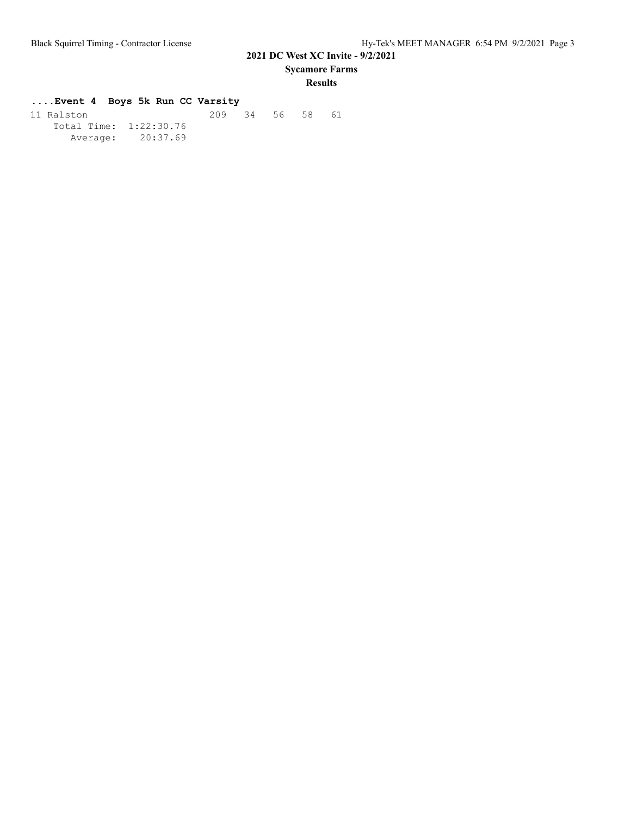**Sycamore Farms**

### **Results**

### **....Event 4 Boys 5k Run CC Varsity**

| 11 Ralston             |                   | 209 34 56 58 |  | 61 |
|------------------------|-------------------|--------------|--|----|
| Total Time: 1:22:30.76 |                   |              |  |    |
|                        | Average: 20:37.69 |              |  |    |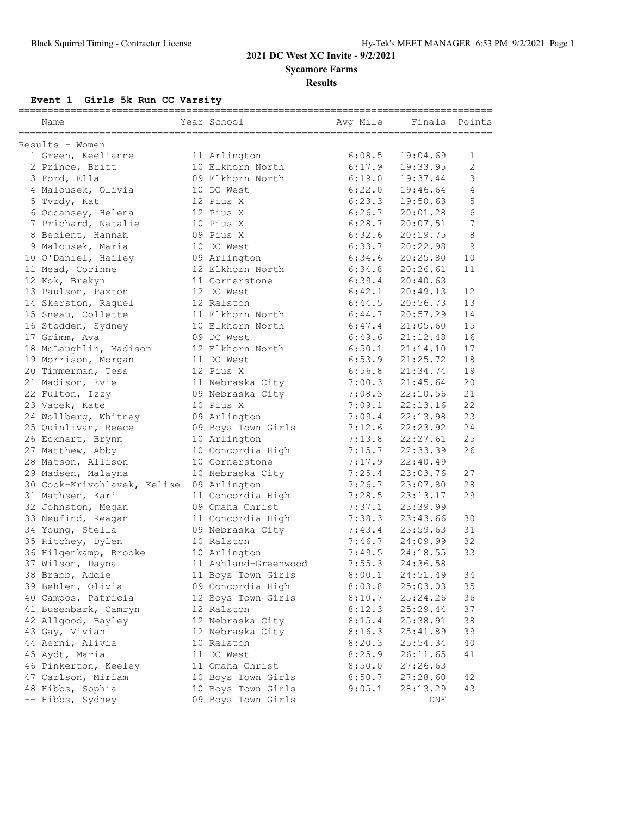**Sycamore Farms**

### **Results**

### **Event 1 Girls 5k Run CC Varsity**

| ============<br>Name                     | Year School          | Avg Mile | Finals   | Points       |
|------------------------------------------|----------------------|----------|----------|--------------|
| Results - Women                          |                      |          |          |              |
| 1 Green, Keelianne                       | 11 Arlington         | 6:08.5   | 19:04.69 | 1            |
| 2 Prince, Britt                          | 10 Elkhorn North     | 6:17.9   | 19:33.95 | $\mathbf{2}$ |
| 3 Ford, Ella                             | 09 Elkhorn North     | 6:19.0   | 19:37.44 | 3            |
| 4 Malousek, Olivia                       | 10 DC West           | 6:22.0   | 19:46.64 | 4            |
| 5 Tvrdy, Kat                             | 12 Pius X            | 6:23.3   | 19:50.63 | 5            |
| 6 Occansey, Helena                       | 12 Pius X            | 6:26.7   | 20:01.28 | 6            |
| 7 Prichard, Natalie                      | 10 Pius X            | 6:28.7   | 20:07.51 | 7            |
| 8 Bedient, Hannah                        | 09 Pius X            | 6:32.6   | 20:19.75 | 8            |
| 9 Malousek, Maria                        | 10 DC West           | 6:33.7   | 20:22.98 | 9            |
| 10 O'Daniel, Hailey                      | 09 Arlington         | 6:34.6   | 20:25.80 | 10           |
| 11 Mead, Corinne                         | 12 Elkhorn North     | 6:34.8   | 20:26.61 | 11           |
| 12 Kok, Brekyn                           | 11 Cornerstone       | 6:39.4   | 20:40.63 |              |
| 13 Paulson, Paxton                       | 12 DC West           | 6:42.1   | 20:49.13 | 12           |
| 14 Skerston, Raquel                      | 12 Ralston           | 6:44.5   | 20:56.73 | 13           |
| 15 Sneau, Collette                       | 11 Elkhorn North     | 6:44.7   | 20:57.29 | 14           |
| 16 Stodden, Sydney                       | 10 Elkhorn North     | 6:47.4   | 21:05.60 | 15           |
| 17 Grimm, Ava                            | 09 DC West           | 6:49.6   | 21:12.48 | 16           |
| 18 McLaughlin, Madison                   | 12 Elkhorn North     | 6:50.1   | 21:14.10 | 17           |
| 19 Morrison, Morgan                      | 11 DC West           | 6:53.9   | 21:25.72 | 18           |
| 20 Timmerman, Tess                       | 12 Pius X            | 6:56.8   | 21:34.74 | 19           |
| 21 Madison, Evie                         | 11 Nebraska City     | 7:00.3   | 21:45.64 | 20           |
| 22 Fulton, Izzy                          | 09 Nebraska City     | 7:08.3   | 22:10.56 | 21           |
| 23 Vacek, Kate                           | 10 Pius X            | 7:09.1   | 22:13.16 | 22           |
| 24 Wollberg, Whitney                     | 09 Arlington         | 7:09.4   | 22:13.98 | 23           |
| 25 Quinlivan, Reece                      | 09 Boys Town Girls   | 7:12.6   | 22:23.92 | 24           |
| 26 Eckhart, Brynn                        | 10 Arlington         | 7:13.8   | 22:27.61 | 25           |
| 27 Matthew, Abby                         | 10 Concordia High    | 7:15.7   | 22:33.39 | 26           |
| 28 Matson, Allison                       | 10 Cornerstone       | 7:17.9   | 22:40.49 |              |
| 29 Madsen, Malayna                       | 10 Nebraska City     | 7:25.4   | 23:03.76 | 27           |
| 30 Cook-Krivohlavek, Kelise 09 Arlington |                      | 7:26.7   | 23:07.80 | 28           |
| 31 Mathsen, Kari                         | 11 Concordia High    | 7:28.5   | 23:13.17 | 29           |
| 32 Johnston, Megan                       | 09 Omaha Christ      | 7:37.1   | 23:39.99 |              |
| 33 Neufind, Reagan                       | 11 Concordia High    | 7:38.3   | 23:43.66 | 30           |
| 34 Young, Stella                         | 09 Nebraska City     | 7:43.4   | 23:59.63 | 31           |
| 35 Ritchey, Dylen                        | 10 Ralston           | 7:46.7   | 24:09.99 | 32           |
| 36 Hilgenkamp, Brooke                    | 10 Arlington         | 7:49.5   | 24:18.55 | 33           |
| 37 Wilson, Dayna                         | 11 Ashland-Greenwood | 7:55.3   | 24:36.58 |              |
| 38 Brabb, Addie                          | 11 Boys Town Girls   | 8:00.1   | 24:51.49 | 34           |
| 39 Behlen, Olivia                        | 09 Concordia High    | 8:03.8   | 25:03.03 | 35           |
| 40 Campos, Patricia                      | 12 Boys Town Girls   | 8:10.7   | 25:24.26 | 36           |
| 41 Busenbark, Camryn                     | 12 Ralston           | 8:12.3   | 25:29.44 | 37           |
| 42 Allgood, Bayley                       | 12 Nebraska City     | 8:15.4   | 25:38.91 | 38           |
| 43 Gay, Vivian                           | 12 Nebraska City     | 8:16.3   | 25:41.89 | 39           |
| 44 Aerni, Alivia                         | 10 Ralston           | 8:20.3   | 25:54.34 | 40           |
| 45 Aydt, Maria                           | 11 DC West           | 8:25.9   | 26:11.65 | 41           |
| 46 Pinkerton, Keeley                     | 11 Omaha Christ      | 8:50.0   | 27:26.63 |              |
| 47 Carlson, Miriam                       | 10 Boys Town Girls   | 8:50.7   | 27:28.60 | 42           |
| 48 Hibbs, Sophia                         | 10 Boys Town Girls   | 9:05.1   | 28:13.29 | 43           |
| -- Hibbs, Sydney                         | 09 Boys Town Girls   |          | DNF      |              |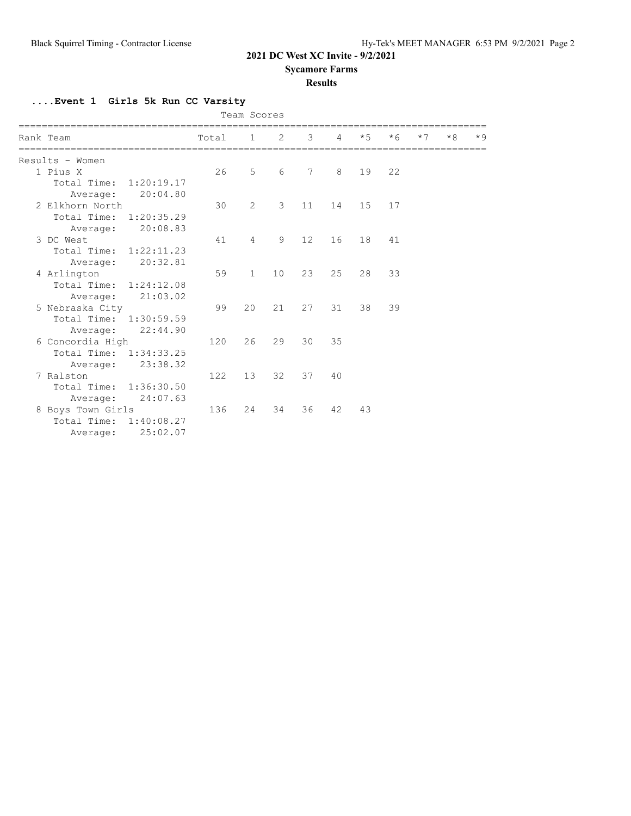**Sycamore Farms**

### **Results**

**....Event 1 Girls 5k Run CC Varsity**

|                           |       | Team Scores    |    |    |                |      |      |      |      |      |
|---------------------------|-------|----------------|----|----|----------------|------|------|------|------|------|
| Rank Team                 | Total | $\mathbf{1}$   | 2  | 3  | $\overline{4}$ | $*5$ | $*6$ | $*7$ | $*8$ | $*9$ |
| Results - Women           |       |                |    |    |                |      |      |      |      |      |
| 1 Pius X                  | 26    | $\overline{5}$ | 6  | 7  | 8              | 19   | 22   |      |      |      |
| Total Time: 1:20:19.17    |       |                |    |    |                |      |      |      |      |      |
| 20:04.80<br>Average:      |       |                |    |    |                |      |      |      |      |      |
| 2 Elkhorn North           | 30    | 2              | 3  | 11 | 14             | 15   | 17   |      |      |      |
| Total Time: 1:20:35.29    |       |                |    |    |                |      |      |      |      |      |
| 20:08.83<br>Average:      |       |                |    |    |                |      |      |      |      |      |
| 3 DC West                 | 41    | 4              | 9  | 12 | 16             | 18   | 41   |      |      |      |
| Total Time: 1:22:11.23    |       |                |    |    |                |      |      |      |      |      |
| 20:32.81<br>Average:      |       |                |    |    |                |      |      |      |      |      |
| 4 Arlington               | 59    | $\mathbf{1}$   | 10 | 23 | 25             | 28   | 33   |      |      |      |
| Total Time: 1:24:12.08    |       |                |    |    |                |      |      |      |      |      |
| 21:03.02<br>Average:      |       |                |    |    |                |      |      |      |      |      |
| 5 Nebraska City           | 99    | 20             | 21 | 27 | 31             | 38   | 39   |      |      |      |
| Total Time: 1:30:59.59    |       |                |    |    |                |      |      |      |      |      |
| 22:44.90<br>Average:      |       |                |    |    |                |      |      |      |      |      |
| 6 Concordia High          | 120   | 26             | 29 | 30 | 35             |      |      |      |      |      |
| Total Time: 1:34:33.25    |       |                |    |    |                |      |      |      |      |      |
| 23:38.32<br>Average:      |       |                |    |    |                |      |      |      |      |      |
| 7 Ralston                 | 122   | 13             | 32 | 37 | 40             |      |      |      |      |      |
| Total Time: 1:36:30.50    |       |                |    |    |                |      |      |      |      |      |
| 24:07.63<br>Average:      |       |                |    |    |                |      |      |      |      |      |
| 8 Boys Town Girls         | 136   | 24             | 34 | 36 | 42             | 43   |      |      |      |      |
| Total Time:<br>1:40:08.27 |       |                |    |    |                |      |      |      |      |      |
| 25:02.07<br>Average:      |       |                |    |    |                |      |      |      |      |      |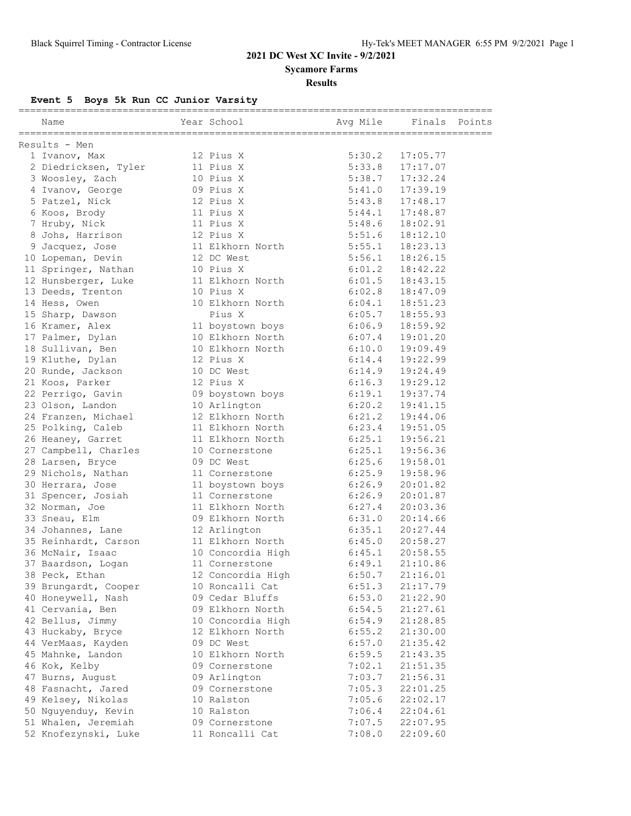**Sycamore Farms**

# **Results**

# **Event 5 Boys 5k Run CC Junior Varsity**

| ==============       |                                      |          |          |        |
|----------------------|--------------------------------------|----------|----------|--------|
| Name                 | Year School                          | Avg Mile | Finals   | Points |
| Results - Men        |                                      |          |          |        |
| 1 Ivanov, Max        | 12 Pius X                            | 5:30.2   | 17:05.77 |        |
| 2 Diedricksen, Tyler | 11 Pius X                            | 5:33.8   | 17:17.07 |        |
| 3 Woosley, Zach      | 10 Pius X                            | 5:38.7   | 17:32.24 |        |
| 4 Ivanov, George     | 09 Pius X                            | 5:41.0   | 17:39.19 |        |
| 5 Patzel, Nick       | 12 Pius X                            | 5:43.8   | 17:48.17 |        |
| 6 Koos, Brody        | 11 Pius X                            | 5:44.1   | 17:48.87 |        |
| 7 Hruby, Nick        | 11 Pius X                            | 5:48.6   | 18:02.91 |        |
| 8 Johs, Harrison     | 12 Pius X                            | 5:51.6   | 18:12.10 |        |
| 9 Jacquez, Jose      | 11 Elkhorn North                     | 5:55.1   | 18:23.13 |        |
| 10 Lopeman, Devin    | 12 DC West                           | 5:56.1   | 18:26.15 |        |
| 11 Springer, Nathan  | 10 Pius X                            | 6:01.2   | 18:42.22 |        |
| 12 Hunsberger, Luke  | 11 Elkhorn North                     | 6:01.5   | 18:43.15 |        |
| 13 Deeds, Trenton    | 10 Pius X                            | 6:02.8   | 18:47.09 |        |
| 14 Hess, Owen        | 10 Elkhorn North                     | 6:04.1   | 18:51.23 |        |
| 15 Sharp, Dawson     | Pius X                               | 6:05.7   | 18:55.93 |        |
| 16 Kramer, Alex      | 11 boystown boys                     | 6:06.9   | 18:59.92 |        |
| 17 Palmer, Dylan     | 10 Elkhorn North                     | 6:07.4   | 19:01.20 |        |
| 18 Sullivan, Ben     | 10 Elkhorn North                     | 6:10.0   | 19:09.49 |        |
| 19 Kluthe, Dylan     | 12 Pius X                            | 6:14.4   | 19:22.99 |        |
| 20 Runde, Jackson    | 10 DC West                           | 6:14.9   | 19:24.49 |        |
| 21 Koos, Parker      | 12 Pius X                            | 6:16.3   | 19:29.12 |        |
| 22 Perrigo, Gavin    | 09 boystown boys                     | 6:19.1   | 19:37.74 |        |
| 23 Olson, Landon     | 10 Arlington                         | 6:20.2   | 19:41.15 |        |
| 24 Franzen, Michael  | 12 Elkhorn North                     | 6:21.2   | 19:44.06 |        |
| 25 Polking, Caleb    | 11 Elkhorn North                     | 6:23.4   | 19:51.05 |        |
| 26 Heaney, Garret    | 11 Elkhorn North                     | 6:25.1   | 19:56.21 |        |
| 27 Campbell, Charles | 10 Cornerstone                       | 6:25.1   | 19:56.36 |        |
| 28 Larsen, Bryce     | 09 DC West                           | 6:25.6   | 19:58.01 |        |
| 29 Nichols, Nathan   | 11 Cornerstone                       | 6:25.9   | 19:58.96 |        |
| 30 Herrara, Jose     | 11 boystown boys                     | 6:26.9   | 20:01.82 |        |
| 31 Spencer, Josiah   | 11 Cornerstone                       | 6:26.9   | 20:01.87 |        |
| 32 Norman, Joe       | 11 Elkhorn North                     | 6:27.4   | 20:03.36 |        |
| 33 Sneau, Elm        | 09 Elkhorn North                     | 6:31.0   | 20:14.66 |        |
| 34 Johannes, Lane    | 12 Arlington                         | 6:35.1   | 20:27.44 |        |
| 35 Reinhardt, Carson | 11 Elkhorn North                     | 6:45.0   | 20:58.27 |        |
| 36 McNair, Isaac     | 10 Concordia High                    | 6:45.1   | 20:58.55 |        |
| 37 Baardson, Logan   |                                      | 6:49.1   | 21:10.86 |        |
|                      | 11 Cornerstone                       |          |          |        |
| 38 Peck, Ethan       | 12 Concordia High<br>10 Roncalli Cat | 6:50.7   | 21:16.01 |        |
| 39 Brungardt, Cooper | 09 Cedar Bluffs                      | 6:51.3   | 21:17.79 |        |
| 40 Honeywell, Nash   |                                      | 6:53.0   | 21:22.90 |        |
| 41 Cervania, Ben     | 09 Elkhorn North                     | 6:54.5   | 21:27.61 |        |
| 42 Bellus, Jimmy     | 10 Concordia High                    | 6:54.9   | 21:28.85 |        |
| 43 Huckaby, Bryce    | 12 Elkhorn North                     | 6:55.2   | 21:30.00 |        |
| 44 VerMaas, Kayden   | 09 DC West                           | 6:57.0   | 21:35.42 |        |
| 45 Mahnke, Landon    | 10 Elkhorn North                     | 6:59.5   | 21:43.35 |        |
| 46 Kok, Kelby        | 09 Cornerstone                       | 7:02.1   | 21:51.35 |        |
| 47 Burns, August     | 09 Arlington                         | 7:03.7   | 21:56.31 |        |
| 48 Fasnacht, Jared   | 09 Cornerstone                       | 7:05.3   | 22:01.25 |        |
| 49 Kelsey, Nikolas   | 10 Ralston                           | 7:05.6   | 22:02.17 |        |
| 50 Nguyenduy, Kevin  | 10 Ralston                           | 7:06.4   | 22:04.61 |        |
| 51 Whalen, Jeremiah  | 09 Cornerstone                       | 7:07.5   | 22:07.95 |        |
| 52 Knofezynski, Luke | 11 Roncalli Cat                      | 7:08.0   | 22:09.60 |        |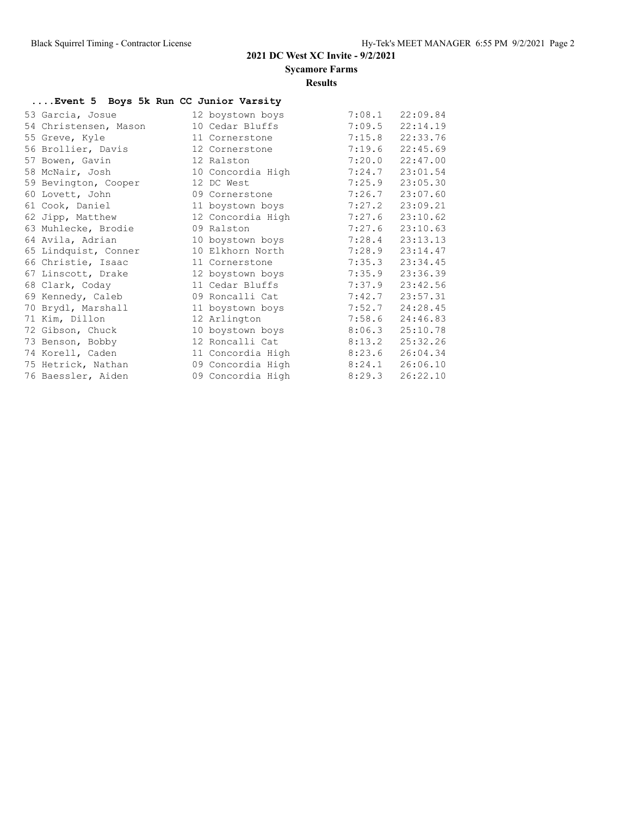**Sycamore Farms**

#### **Results**

### **....Event 5 Boys 5k Run CC Junior Varsity**

| 53 Garcia, Josue      | 12 boystown boys  | 7:08.1 | 22:09.84 |
|-----------------------|-------------------|--------|----------|
| 54 Christensen, Mason | 10 Cedar Bluffs   | 7:09.5 | 22:14.19 |
| 55 Greve, Kyle        | 11 Cornerstone    | 7:15.8 | 22:33.76 |
| 56 Brollier, Davis    | 12 Cornerstone    | 7:19.6 | 22:45.69 |
| 57 Bowen, Gavin       | 12 Ralston        | 7:20.0 | 22:47.00 |
| 58 McNair, Josh       | 10 Concordia High | 7:24.7 | 23:01.54 |
| 59 Bevington, Cooper  | 12 DC West        | 7:25.9 | 23:05.30 |
| 60 Lovett, John       | 09 Cornerstone    | 7:26.7 | 23:07.60 |
| 61 Cook, Daniel       | 11 boystown boys  | 7:27.2 | 23:09.21 |
| 62 Jipp, Matthew      | 12 Concordia High | 7:27.6 | 23:10.62 |
| 63 Muhlecke, Brodie   | 09 Ralston        | 7:27.6 | 23:10.63 |
| 64 Avila, Adrian      | 10 boystown boys  | 7:28.4 | 23:13.13 |
| 65 Lindquist, Conner  | 10 Elkhorn North  | 7:28.9 | 23:14.47 |
| 66 Christie, Isaac    | 11 Cornerstone    | 7:35.3 | 23:34.45 |
| 67 Linscott, Drake    | 12 boystown boys  | 7:35.9 | 23:36.39 |
| 68 Clark, Coday       | 11 Cedar Bluffs   | 7:37.9 | 23:42.56 |
| 69 Kennedy, Caleb     | 09 Roncalli Cat   | 7:42.7 | 23:57.31 |
| 70 Brydl, Marshall    | 11 boystown boys  | 7:52.7 | 24:28.45 |
| 71 Kim, Dillon        | 12 Arlington      | 7:58.6 | 24:46.83 |
| 72 Gibson, Chuck      | 10 boystown boys  | 8:06.3 | 25:10.78 |
| 73 Benson, Bobby      | 12 Roncalli Cat   | 8:13.2 | 25:32.26 |
| 74 Korell, Caden      | 11 Concordia High | 8:23.6 | 26:04.34 |
| 75 Hetrick, Nathan    | 09 Concordia High | 8:24.1 | 26:06.10 |
| 76 Baessler, Aiden    | 09 Concordia High | 8:29.3 | 26:22.10 |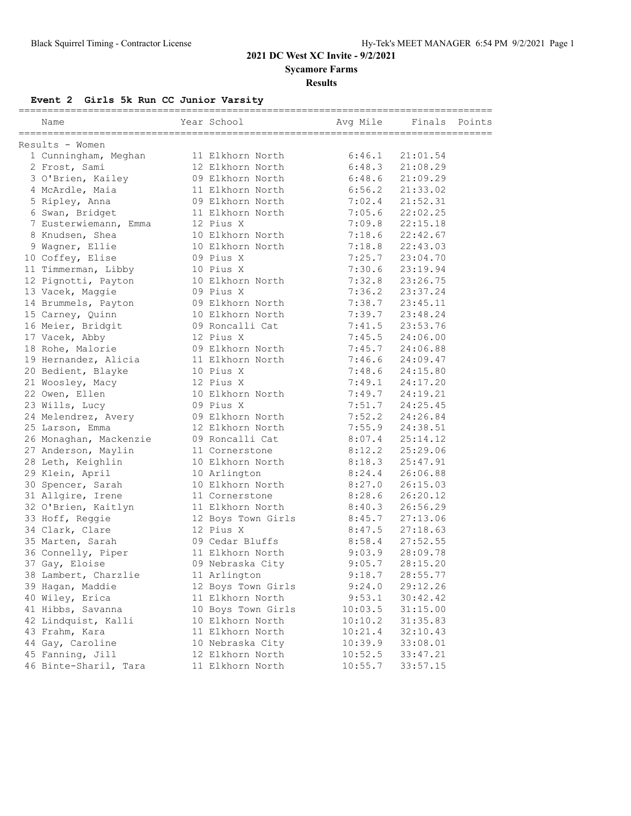**Sycamore Farms**

### **Results**

### **Event 2 Girls 5k Run CC Junior Varsity**

| Name                   | Year School        | Avg Mile | Finals   | Points |
|------------------------|--------------------|----------|----------|--------|
| Results - Women        |                    |          |          |        |
| 1 Cunningham, Meghan   | 11 Elkhorn North   | 6:46.1   | 21:01.54 |        |
| 2 Frost, Sami          | 12 Elkhorn North   | 6:48.3   | 21:08.29 |        |
| 3 O'Brien, Kailey      | 09 Elkhorn North   | 6:48.6   | 21:09.29 |        |
| 4 McArdle, Maia        | 11 Elkhorn North   | 6:56.2   | 21:33.02 |        |
| 5 Ripley, Anna         | 09 Elkhorn North   | 7:02.4   | 21:52.31 |        |
| 6 Swan, Bridget        | 11 Elkhorn North   | 7:05.6   | 22:02.25 |        |
| 7 Eusterwiemann, Emma  | 12 Pius X          | 7:09.8   | 22:15.18 |        |
| 8 Knudsen, Shea        | 10 Elkhorn North   | 7:18.6   | 22:42.67 |        |
| 9 Wagner, Ellie        | 10 Elkhorn North   | 7:18.8   | 22:43.03 |        |
| 10 Coffey, Elise       | 09 Pius X          | 7:25.7   | 23:04.70 |        |
| 11 Timmerman, Libby    | 10 Pius X          | 7:30.6   | 23:19.94 |        |
| 12 Pignotti, Payton    | 10 Elkhorn North   | 7:32.8   | 23:26.75 |        |
| 13 Vacek, Maggie       | 09 Pius X          | 7:36.2   | 23:37.24 |        |
| 14 Brummels, Payton    | 09 Elkhorn North   | 7:38.7   | 23:45.11 |        |
| 15 Carney, Quinn       | 10 Elkhorn North   | 7:39.7   | 23:48.24 |        |
| 16 Meier, Bridgit      | 09 Roncalli Cat    | 7:41.5   | 23:53.76 |        |
| 17 Vacek, Abby         | 12 Pius X          | 7:45.5   | 24:06.00 |        |
| 18 Rohe, Malorie       | 09 Elkhorn North   | 7:45.7   | 24:06.88 |        |
| 19 Hernandez, Alicia   | 11 Elkhorn North   | 7:46.6   | 24:09.47 |        |
| 20 Bedient, Blayke     | 10 Pius X          | 7:48.6   | 24:15.80 |        |
| 21 Woosley, Macy       | 12 Pius X          | 7:49.1   | 24:17.20 |        |
| 22 Owen, Ellen         | 10 Elkhorn North   | 7:49.7   | 24:19.21 |        |
| 23 Wills, Lucy         | 09 Pius X          | 7:51.7   | 24:25.45 |        |
| 24 Melendrez, Avery    | 09 Elkhorn North   | 7:52.2   | 24:26.84 |        |
| 25 Larson, Emma        | 12 Elkhorn North   | 7:55.9   | 24:38.51 |        |
| 26 Monaghan, Mackenzie | 09 Roncalli Cat    | 8:07.4   | 25:14.12 |        |
| 27 Anderson, Maylin    | 11 Cornerstone     | 8:12.2   | 25:29.06 |        |
| 28 Leth, Keighlin      | 10 Elkhorn North   | 8:18.3   | 25:47.91 |        |
| 29 Klein, April        | 10 Arlington       | 8:24.4   | 26:06.88 |        |
| 30 Spencer, Sarah      | 10 Elkhorn North   | 8:27.0   | 26:15.03 |        |
| 31 Allgire, Irene      | 11 Cornerstone     | 8:28.6   | 26:20.12 |        |
| 32 O'Brien, Kaitlyn    | 11 Elkhorn North   | 8:40.3   | 26:56.29 |        |
| 33 Hoff, Reggie        | 12 Boys Town Girls | 8:45.7   | 27:13.06 |        |
| 34 Clark, Clare        | 12 Pius X          | 8:47.5   | 27:18.63 |        |
| 35 Marten, Sarah       | 09 Cedar Bluffs    | 8:58.4   | 27:52.55 |        |
| 36 Connelly, Piper     | 11 Elkhorn North   | 9:03.9   | 28:09.78 |        |
| 37 Gay, Eloise         | 09 Nebraska City   | 9:05.7   | 28:15.20 |        |
| 38 Lambert, Charzlie   | 11 Arlington       | 9:18.7   | 28:55.77 |        |
| 39 Hagan, Maddie       | 12 Boys Town Girls | 9:24.0   | 29:12.26 |        |
| 40 Wiley, Erica        | 11 Elkhorn North   | 9:53.1   | 30:42.42 |        |
| 41 Hibbs, Savanna      | 10 Boys Town Girls | 10:03.5  | 31:15.00 |        |
| 42 Lindquist, Kalli    | 10 Elkhorn North   | 10:10.2  | 31:35.83 |        |
| 43 Frahm, Kara         | 11 Elkhorn North   | 10:21.4  | 32:10.43 |        |
| 44 Gay, Caroline       | 10 Nebraska City   | 10:39.9  | 33:08.01 |        |
| 45 Fanning, Jill       | 12 Elkhorn North   | 10:52.5  | 33:47.21 |        |
| 46 Binte-Sharil, Tara  | 11 Elkhorn North   | 10:55.7  | 33:57.15 |        |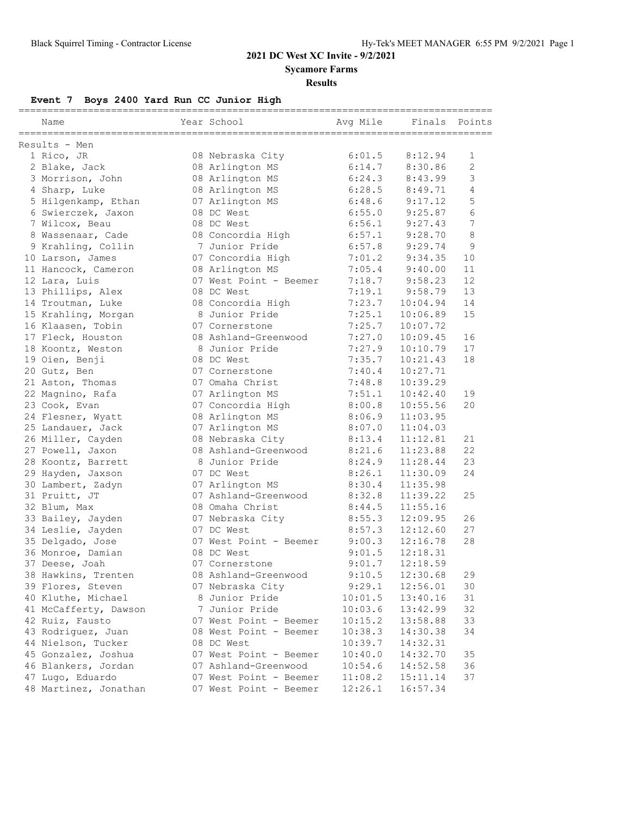**Sycamore Farms**

#### **Results**

# **Event 7 Boys 2400 Yard Run CC Junior High**

| Name                  | Year School            | Avg Mile | Finals   | Points         |
|-----------------------|------------------------|----------|----------|----------------|
| Results - Men         |                        |          |          |                |
| 1 Rico, JR            | 08 Nebraska City       | 6:01.5   | 8:12.94  | 1              |
| 2 Blake, Jack         | 08 Arlington MS        | 6:14.7   | 8:30.86  | $\overline{c}$ |
| 3 Morrison, John      | 08 Arlington MS        | 6:24.3   | 8:43.99  | 3              |
| 4 Sharp, Luke         | 08 Arlington MS        | 6:28.5   | 8:49.71  | 4              |
| 5 Hilgenkamp, Ethan   | 07 Arlington MS        | 6:48.6   | 9:17.12  | 5              |
| 6 Swierczek, Jaxon    | 08 DC West             | 6:55.0   | 9:25.87  | 6              |
| 7 Wilcox, Beau        | 08 DC West             | 6:56.1   | 9:27.43  | 7              |
| 8 Wassenaar, Cade     | 08 Concordia High      | 6:57.1   | 9:28.70  | 8              |
| 9 Krahling, Collin    | 7 Junior Pride         | 6:57.8   | 9:29.74  | 9              |
| 10 Larson, James      | 07 Concordia High      | 7:01.2   | 9:34.35  | 10             |
| 11 Hancock, Cameron   | 08 Arlington MS        | 7:05.4   | 9:40.00  | 11             |
| 12 Lara, Luis         | 07 West Point - Beemer | 7:18.7   | 9:58.23  | 12             |
| 13 Phillips, Alex     | 08 DC West             | 7:19.1   | 9:58.79  | 13             |
| 14 Troutman, Luke     | 08 Concordia High      | 7:23.7   | 10:04.94 | 14             |
| 15 Krahling, Morgan   | 8 Junior Pride         | 7:25.1   | 10:06.89 | 15             |
| 16 Klaasen, Tobin     | 07 Cornerstone         | 7:25.7   | 10:07.72 |                |
| 17 Fleck, Houston     | 08 Ashland-Greenwood   | 7:27.0   | 10:09.45 | 16             |
| 18 Koontz, Weston     | 8 Junior Pride         | 7:27.9   | 10:10.79 | 17             |
| 19 Oien, Benji        | 08 DC West             | 7:35.7   | 10:21.43 | 18             |
| 20 Gutz, Ben          | 07 Cornerstone         | 7:40.4   | 10:27.71 |                |
| 21 Aston, Thomas      | 07 Omaha Christ        | 7:48.8   | 10:39.29 |                |
| 22 Magnino, Rafa      | 07 Arlington MS        | 7:51.1   | 10:42.40 | 19             |
| 23 Cook, Evan         | 07 Concordia High      | 8:00.8   | 10:55.56 | 20             |
| 24 Flesner, Wyatt     | 08 Arlington MS        | 8:06.9   | 11:03.95 |                |
| 25 Landauer, Jack     | 07 Arlington MS        | 8:07.0   | 11:04.03 |                |
| 26 Miller, Cayden     | 08 Nebraska City       | 8:13.4   | 11:12.81 | 21             |
| 27 Powell, Jaxon      | 08 Ashland-Greenwood   | 8:21.6   | 11:23.88 | 22             |
| 28 Koontz, Barrett    | 8 Junior Pride         | 8:24.9   | 11:28.44 | 23             |
| 29 Hayden, Jaxson     | 07 DC West             | 8:26.1   | 11:30.09 | 24             |
| 30 Lambert, Zadyn     | 07 Arlington MS        | 8:30.4   | 11:35.98 |                |
| 31 Pruitt, JT         | 07 Ashland-Greenwood   | 8:32.8   | 11:39.22 | 25             |
| 32 Blum, Max          | 08 Omaha Christ        | 8:44.5   | 11:55.16 |                |
| 33 Bailey, Jayden     | 07 Nebraska City       | 8:55.3   | 12:09.95 | 26             |
| 34 Leslie, Jayden     | 07 DC West             | 8:57.3   | 12:12.60 | 27             |
| 35 Delgado, Jose      | 07 West Point - Beemer | 9:00.3   | 12:16.78 | 28             |
| 36 Monroe, Damian     | 08 DC West             | 9:01.5   | 12:18.31 |                |
| 37 Deese, Joah        | 07 Cornerstone         | 9:01.7   | 12:18.59 |                |
| 38 Hawkins, Trenten   | 08 Ashland-Greenwood   | 9:10.5   | 12:30.68 | 29             |
| 39 Flores, Steven     | 07 Nebraska City       | 9:29.1   | 12:56.01 | 30             |
| 40 Kluthe, Michael    | 8 Junior Pride         | 10:01.5  | 13:40.16 | 31             |
| 41 McCafferty, Dawson | 7 Junior Pride         | 10:03.6  | 13:42.99 | 32             |
| 42 Ruiz, Fausto       | 07 West Point - Beemer | 10:15.2  | 13:58.88 | 33             |
| 43 Rodriguez, Juan    | 08 West Point - Beemer | 10:38.3  | 14:30.38 | 34             |
| 44 Nielson, Tucker    | 08 DC West             | 10:39.7  | 14:32.31 |                |
| 45 Gonzalez, Joshua   | 07 West Point - Beemer | 10:40.0  | 14:32.70 | 35             |
| 46 Blankers, Jordan   | 07 Ashland-Greenwood   | 10:54.6  | 14:52.58 | 36             |
| 47 Lugo, Eduardo      | 07 West Point - Beemer | 11:08.2  | 15:11.14 | 37             |
| 48 Martinez, Jonathan | 07 West Point - Beemer | 12:26.1  | 16:57.34 |                |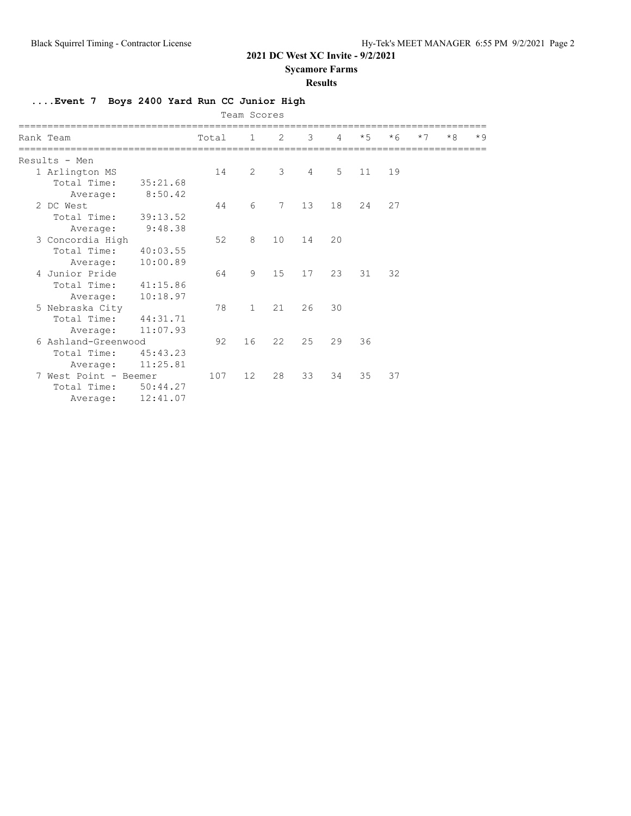**Sycamore Farms**

#### **Results**

**....Event 7 Boys 2400 Yard Run CC Junior High**

|               |                       |          |       | Team Scores  |    |    |                |      |      |      |      |      |
|---------------|-----------------------|----------|-------|--------------|----|----|----------------|------|------|------|------|------|
| Rank Team     |                       |          | Total | 1            | -2 | 3  | $\overline{4}$ | $*5$ | $*6$ | $*7$ | $*8$ | $*9$ |
| Results - Men |                       |          |       |              |    |    |                |      |      |      |      |      |
|               | 1 Arlington MS        |          | 14    | 2            | 3  | 4  | 5              | 11   | 19   |      |      |      |
|               | Total Time:           | 35:21.68 |       |              |    |    |                |      |      |      |      |      |
|               | Average:              | 8:50.42  |       |              |    |    |                |      |      |      |      |      |
| 2 DC West     |                       |          | 44    | 6            | 7  | 13 | 18             | 2.4  | 27   |      |      |      |
|               | Total Time:           | 39:13.52 |       |              |    |    |                |      |      |      |      |      |
|               | Average:              | 9:48.38  |       |              |    |    |                |      |      |      |      |      |
|               | 3 Concordia High      |          | 52    | 8            | 10 | 14 | 20             |      |      |      |      |      |
|               | Total Time:           | 40:03.55 |       |              |    |    |                |      |      |      |      |      |
|               | Average:              | 10:00.89 |       |              |    |    |                |      |      |      |      |      |
|               | 4 Junior Pride        |          | 64    | 9            | 15 | 17 | 23             | 31   | 32   |      |      |      |
|               | Total Time:           | 41:15.86 |       |              |    |    |                |      |      |      |      |      |
|               | Average:              | 10:18.97 |       |              |    |    |                |      |      |      |      |      |
|               | 5 Nebraska City       |          | 78    | $\mathbf{1}$ | 21 | 26 | 30             |      |      |      |      |      |
|               | Total Time:           | 44:31.71 |       |              |    |    |                |      |      |      |      |      |
|               | Average:              | 11:07.93 |       |              |    |    |                |      |      |      |      |      |
|               | 6 Ashland-Greenwood   |          | 92    | 16           | 22 | 25 | 29             | 36   |      |      |      |      |
|               | Total Time:           | 45:43.23 |       |              |    |    |                |      |      |      |      |      |
|               | Average:              | 11:25.81 |       |              |    |    |                |      |      |      |      |      |
|               | 7 West Point - Beemer |          | 107   | 12           | 28 | 33 | 34             | 35   | 37   |      |      |      |
|               | Total Time:           | 50:44.27 |       |              |    |    |                |      |      |      |      |      |
|               | Average:              | 12:41.07 |       |              |    |    |                |      |      |      |      |      |